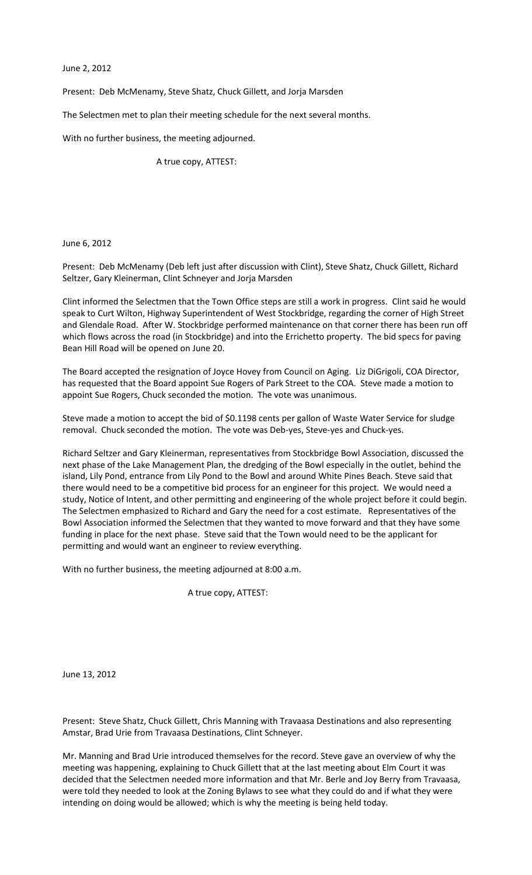June 2, 2012

Present: Deb McMenamy, Steve Shatz, Chuck Gillett, and Jorja Marsden

The Selectmen met to plan their meeting schedule for the next several months.

With no further business, the meeting adjourned.

A true copy, ATTEST:

June 6, 2012

Present: Deb McMenamy (Deb left just after discussion with Clint), Steve Shatz, Chuck Gillett, Richard Seltzer, Gary Kleinerman, Clint Schneyer and Jorja Marsden

Clint informed the Selectmen that the Town Office steps are still a work in progress. Clint said he would speak to Curt Wilton, Highway Superintendent of West Stockbridge, regarding the corner of High Street and Glendale Road. After W. Stockbridge performed maintenance on that corner there has been run off which flows across the road (in Stockbridge) and into the Errichetto property. The bid specs for paving Bean Hill Road will be opened on June 20.

The Board accepted the resignation of Joyce Hovey from Council on Aging. Liz DiGrigoli, COA Director, has requested that the Board appoint Sue Rogers of Park Street to the COA. Steve made a motion to appoint Sue Rogers, Chuck seconded the motion. The vote was unanimous.

Steve made a motion to accept the bid of \$0.1198 cents per gallon of Waste Water Service for sludge removal. Chuck seconded the motion. The vote was Deb-yes, Steve-yes and Chuck-yes.

Richard Seltzer and Gary Kleinerman, representatives from Stockbridge Bowl Association, discussed the next phase of the Lake Management Plan, the dredging of the Bowl especially in the outlet, behind the island, Lily Pond, entrance from Lily Pond to the Bowl and around White Pines Beach. Steve said that there would need to be a competitive bid process for an engineer for this project. We would need a study, Notice of Intent, and other permitting and engineering of the whole project before it could begin. The Selectmen emphasized to Richard and Gary the need for a cost estimate. Representatives of the Bowl Association informed the Selectmen that they wanted to move forward and that they have some funding in place for the next phase. Steve said that the Town would need to be the applicant for permitting and would want an engineer to review everything.

With no further business, the meeting adjourned at 8:00 a.m.

A true copy, ATTEST:

June 13, 2012

Present: Steve Shatz, Chuck Gillett, Chris Manning with Travaasa Destinations and also representing Amstar, Brad Urie from Travaasa Destinations, Clint Schneyer.

Mr. Manning and Brad Urie introduced themselves for the record. Steve gave an overview of why the meeting was happening, explaining to Chuck Gillett that at the last meeting about Elm Court it was decided that the Selectmen needed more information and that Mr. Berle and Joy Berry from Travaasa, were told they needed to look at the Zoning Bylaws to see what they could do and if what they were intending on doing would be allowed; which is why the meeting is being held today.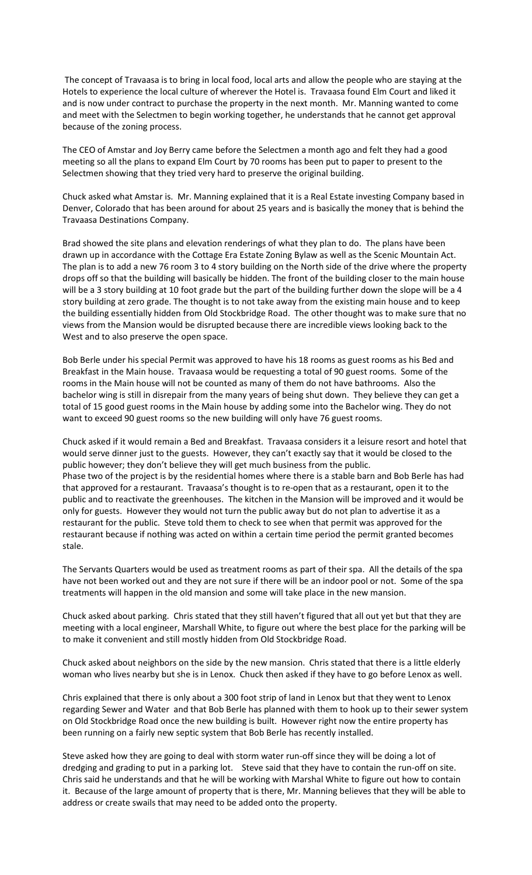The concept of Travaasa is to bring in local food, local arts and allow the people who are staying at the Hotels to experience the local culture of wherever the Hotel is. Travaasa found Elm Court and liked it and is now under contract to purchase the property in the next month. Mr. Manning wanted to come and meet with the Selectmen to begin working together, he understands that he cannot get approval because of the zoning process.

The CEO of Amstar and Joy Berry came before the Selectmen a month ago and felt they had a good meeting so all the plans to expand Elm Court by 70 rooms has been put to paper to present to the Selectmen showing that they tried very hard to preserve the original building.

Chuck asked what Amstar is. Mr. Manning explained that it is a Real Estate investing Company based in Denver, Colorado that has been around for about 25 years and is basically the money that is behind the Travaasa Destinations Company.

Brad showed the site plans and elevation renderings of what they plan to do. The plans have been drawn up in accordance with the Cottage Era Estate Zoning Bylaw as well as the Scenic Mountain Act. The plan is to add a new 76 room 3 to 4 story building on the North side of the drive where the property drops off so that the building will basically be hidden. The front of the building closer to the main house will be a 3 story building at 10 foot grade but the part of the building further down the slope will be a 4 story building at zero grade. The thought is to not take away from the existing main house and to keep the building essentially hidden from Old Stockbridge Road. The other thought was to make sure that no views from the Mansion would be disrupted because there are incredible views looking back to the West and to also preserve the open space.

Bob Berle under his special Permit was approved to have his 18 rooms as guest rooms as his Bed and Breakfast in the Main house. Travaasa would be requesting a total of 90 guest rooms. Some of the rooms in the Main house will not be counted as many of them do not have bathrooms. Also the bachelor wing is still in disrepair from the many years of being shut down. They believe they can get a total of 15 good guest rooms in the Main house by adding some into the Bachelor wing. They do not want to exceed 90 guest rooms so the new building will only have 76 guest rooms.

Chuck asked if it would remain a Bed and Breakfast. Travaasa considers it a leisure resort and hotel that would serve dinner just to the guests. However, they can't exactly say that it would be closed to the public however; they don't believe they will get much business from the public. Phase two of the project is by the residential homes where there is a stable barn and Bob Berle has had that approved for a restaurant. Travaasa's thought is to re-open that as a restaurant, open it to the public and to reactivate the greenhouses. The kitchen in the Mansion will be improved and it would be only for guests. However they would not turn the public away but do not plan to advertise it as a restaurant for the public. Steve told them to check to see when that permit was approved for the restaurant because if nothing was acted on within a certain time period the permit granted becomes stale.

The Servants Quarters would be used as treatment rooms as part of their spa. All the details of the spa have not been worked out and they are not sure if there will be an indoor pool or not. Some of the spa treatments will happen in the old mansion and some will take place in the new mansion.

Chuck asked about parking. Chris stated that they still haven't figured that all out yet but that they are meeting with a local engineer, Marshall White, to figure out where the best place for the parking will be to make it convenient and still mostly hidden from Old Stockbridge Road.

Chuck asked about neighbors on the side by the new mansion. Chris stated that there is a little elderly woman who lives nearby but she is in Lenox. Chuck then asked if they have to go before Lenox as well.

Chris explained that there is only about a 300 foot strip of land in Lenox but that they went to Lenox regarding Sewer and Water and that Bob Berle has planned with them to hook up to their sewer system on Old Stockbridge Road once the new building is built. However right now the entire property has been running on a fairly new septic system that Bob Berle has recently installed.

Steve asked how they are going to deal with storm water run-off since they will be doing a lot of dredging and grading to put in a parking lot. Steve said that they have to contain the run-off on site. Chris said he understands and that he will be working with Marshal White to figure out how to contain it. Because of the large amount of property that is there, Mr. Manning believes that they will be able to address or create swails that may need to be added onto the property.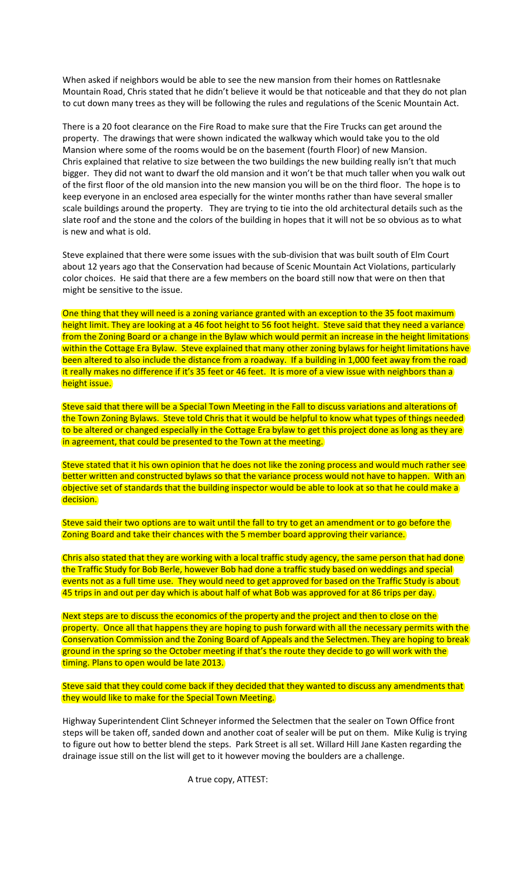When asked if neighbors would be able to see the new mansion from their homes on Rattlesnake Mountain Road, Chris stated that he didn't believe it would be that noticeable and that they do not plan to cut down many trees as they will be following the rules and regulations of the Scenic Mountain Act.

There is a 20 foot clearance on the Fire Road to make sure that the Fire Trucks can get around the property. The drawings that were shown indicated the walkway which would take you to the old Mansion where some of the rooms would be on the basement (fourth Floor) of new Mansion. Chris explained that relative to size between the two buildings the new building really isn't that much bigger. They did not want to dwarf the old mansion and it won't be that much taller when you walk out of the first floor of the old mansion into the new mansion you will be on the third floor. The hope is to keep everyone in an enclosed area especially for the winter months rather than have several smaller scale buildings around the property. They are trying to tie into the old architectural details such as the slate roof and the stone and the colors of the building in hopes that it will not be so obvious as to what is new and what is old.

Steve explained that there were some issues with the sub-division that was built south of Elm Court about 12 years ago that the Conservation had because of Scenic Mountain Act Violations, particularly color choices. He said that there are a few members on the board still now that were on then that might be sensitive to the issue.

One thing that they will need is a zoning variance granted with an exception to the 35 foot maximum height limit. They are looking at a 46 foot height to 56 foot height. Steve said that they need a variance from the Zoning Board or a change in the Bylaw which would permit an increase in the height limitations within the Cottage Era Bylaw. Steve explained that many other zoning bylaws for height limitations have been altered to also include the distance from a roadway. If a building in 1,000 feet away from the road it really makes no difference if it's 35 feet or 46 feet. It is more of a view issue with neighbors than a height issue.

Steve said that there will be a Special Town Meeting in the Fall to discuss variations and alterations of the Town Zoning Bylaws. Steve told Chris that it would be helpful to know what types of things needed to be altered or changed especially in the Cottage Era bylaw to get this project done as long as they are in agreement, that could be presented to the Town at the meeting.

Steve stated that it his own opinion that he does not like the zoning process and would much rather see better written and constructed bylaws so that the variance process would not have to happen. With an objective set of standards that the building inspector would be able to look at so that he could make a decision.

Steve said their two options are to wait until the fall to try to get an amendment or to go before the Zoning Board and take their chances with the 5 member board approving their variance.

Chris also stated that they are working with a local traffic study agency, the same person that had done the Traffic Study for Bob Berle, however Bob had done a traffic study based on weddings and special events not as a full time use. They would need to get approved for based on the Traffic Study is about 45 trips in and out per day which is about half of what Bob was approved for at 86 trips per day.

Next steps are to discuss the economics of the property and the project and then to close on the property. Once all that happens they are hoping to push forward with all the necessary permits with the Conservation Commission and the Zoning Board of Appeals and the Selectmen. They are hoping to break ground in the spring so the October meeting if that's the route they decide to go will work with the timing. Plans to open would be late 2013.

Steve said that they could come back if they decided that they wanted to discuss any amendments that they would like to make for the Special Town Meeting.

Highway Superintendent Clint Schneyer informed the Selectmen that the sealer on Town Office front steps will be taken off, sanded down and another coat of sealer will be put on them. Mike Kulig is trying to figure out how to better blend the steps. Park Street is all set. Willard Hill Jane Kasten regarding the drainage issue still on the list will get to it however moving the boulders are a challenge.

A true copy, ATTEST: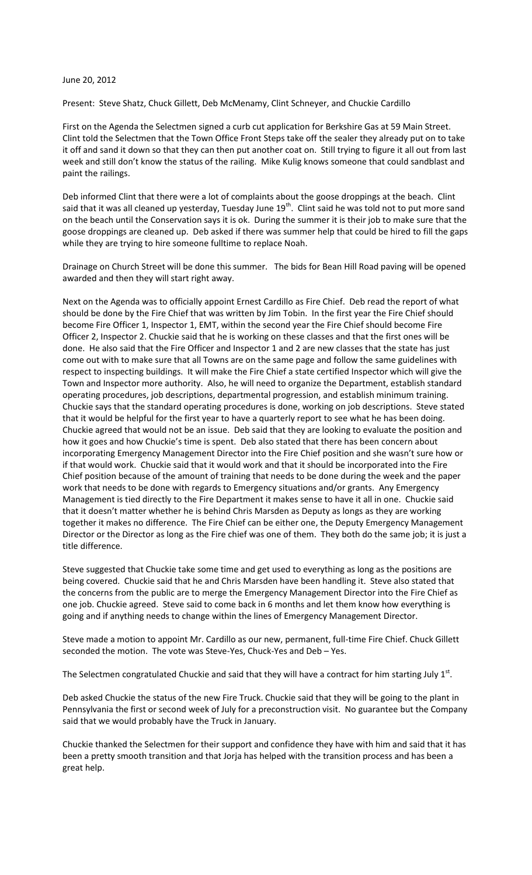## June 20, 2012

Present: Steve Shatz, Chuck Gillett, Deb McMenamy, Clint Schneyer, and Chuckie Cardillo

First on the Agenda the Selectmen signed a curb cut application for Berkshire Gas at 59 Main Street. Clint told the Selectmen that the Town Office Front Steps take off the sealer they already put on to take it off and sand it down so that they can then put another coat on. Still trying to figure it all out from last week and still don't know the status of the railing. Mike Kulig knows someone that could sandblast and paint the railings.

Deb informed Clint that there were a lot of complaints about the goose droppings at the beach. Clint said that it was all cleaned up yesterday, Tuesday June 19<sup>th</sup>. Clint said he was told not to put more sand on the beach until the Conservation says it is ok. During the summer it is their job to make sure that the goose droppings are cleaned up. Deb asked if there was summer help that could be hired to fill the gaps while they are trying to hire someone fulltime to replace Noah.

Drainage on Church Street will be done this summer. The bids for Bean Hill Road paving will be opened awarded and then they will start right away.

Next on the Agenda was to officially appoint Ernest Cardillo as Fire Chief. Deb read the report of what should be done by the Fire Chief that was written by Jim Tobin. In the first year the Fire Chief should become Fire Officer 1, Inspector 1, EMT, within the second year the Fire Chief should become Fire Officer 2, Inspector 2. Chuckie said that he is working on these classes and that the first ones will be done. He also said that the Fire Officer and Inspector 1 and 2 are new classes that the state has just come out with to make sure that all Towns are on the same page and follow the same guidelines with respect to inspecting buildings. It will make the Fire Chief a state certified Inspector which will give the Town and Inspector more authority. Also, he will need to organize the Department, establish standard operating procedures, job descriptions, departmental progression, and establish minimum training. Chuckie says that the standard operating procedures is done, working on job descriptions. Steve stated that it would be helpful for the first year to have a quarterly report to see what he has been doing. Chuckie agreed that would not be an issue. Deb said that they are looking to evaluate the position and how it goes and how Chuckie's time is spent. Deb also stated that there has been concern about incorporating Emergency Management Director into the Fire Chief position and she wasn't sure how or if that would work. Chuckie said that it would work and that it should be incorporated into the Fire Chief position because of the amount of training that needs to be done during the week and the paper work that needs to be done with regards to Emergency situations and/or grants. Any Emergency Management is tied directly to the Fire Department it makes sense to have it all in one. Chuckie said that it doesn't matter whether he is behind Chris Marsden as Deputy as longs as they are working together it makes no difference. The Fire Chief can be either one, the Deputy Emergency Management Director or the Director as long as the Fire chief was one of them. They both do the same job; it is just a title difference.

Steve suggested that Chuckie take some time and get used to everything as long as the positions are being covered. Chuckie said that he and Chris Marsden have been handling it. Steve also stated that the concerns from the public are to merge the Emergency Management Director into the Fire Chief as one job. Chuckie agreed. Steve said to come back in 6 months and let them know how everything is going and if anything needs to change within the lines of Emergency Management Director.

Steve made a motion to appoint Mr. Cardillo as our new, permanent, full-time Fire Chief. Chuck Gillett seconded the motion. The vote was Steve-Yes, Chuck-Yes and Deb – Yes.

The Selectmen congratulated Chuckie and said that they will have a contract for him starting July  $1<sup>st</sup>$ .

Deb asked Chuckie the status of the new Fire Truck. Chuckie said that they will be going to the plant in Pennsylvania the first or second week of July for a preconstruction visit. No guarantee but the Company said that we would probably have the Truck in January.

Chuckie thanked the Selectmen for their support and confidence they have with him and said that it has been a pretty smooth transition and that Jorja has helped with the transition process and has been a great help.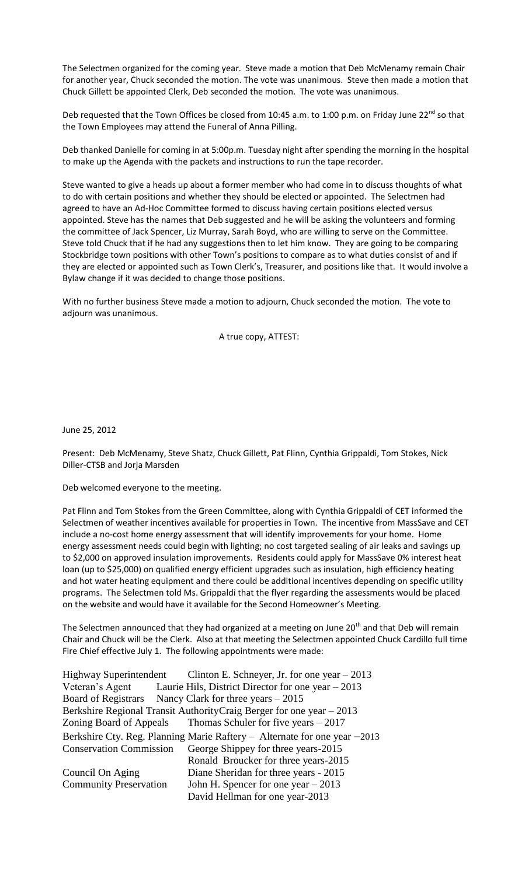The Selectmen organized for the coming year. Steve made a motion that Deb McMenamy remain Chair for another year, Chuck seconded the motion. The vote was unanimous. Steve then made a motion that Chuck Gillett be appointed Clerk, Deb seconded the motion. The vote was unanimous.

Deb requested that the Town Offices be closed from 10:45 a.m. to 1:00 p.m. on Friday June 22<sup>nd</sup> so that the Town Employees may attend the Funeral of Anna Pilling.

Deb thanked Danielle for coming in at 5:00p.m. Tuesday night after spending the morning in the hospital to make up the Agenda with the packets and instructions to run the tape recorder.

Steve wanted to give a heads up about a former member who had come in to discuss thoughts of what to do with certain positions and whether they should be elected or appointed. The Selectmen had agreed to have an Ad-Hoc Committee formed to discuss having certain positions elected versus appointed. Steve has the names that Deb suggested and he will be asking the volunteers and forming the committee of Jack Spencer, Liz Murray, Sarah Boyd, who are willing to serve on the Committee. Steve told Chuck that if he had any suggestions then to let him know. They are going to be comparing Stockbridge town positions with other Town's positions to compare as to what duties consist of and if they are elected or appointed such as Town Clerk's, Treasurer, and positions like that. It would involve a Bylaw change if it was decided to change those positions.

With no further business Steve made a motion to adjourn, Chuck seconded the motion. The vote to adjourn was unanimous.

A true copy, ATTEST:

June 25, 2012

Present: Deb McMenamy, Steve Shatz, Chuck Gillett, Pat Flinn, Cynthia Grippaldi, Tom Stokes, Nick Diller-CTSB and Jorja Marsden

Deb welcomed everyone to the meeting.

Pat Flinn and Tom Stokes from the Green Committee, along with Cynthia Grippaldi of CET informed the Selectmen of weather incentives available for properties in Town. The incentive from MassSave and CET include a no-cost home energy assessment that will identify improvements for your home. Home energy assessment needs could begin with lighting; no cost targeted sealing of air leaks and savings up to \$2,000 on approved insulation improvements. Residents could apply for MassSave 0% interest heat loan (up to \$25,000) on qualified energy efficient upgrades such as insulation, high efficiency heating and hot water heating equipment and there could be additional incentives depending on specific utility programs. The Selectmen told Ms. Grippaldi that the flyer regarding the assessments would be placed on the website and would have it available for the Second Homeowner's Meeting.

The Selectmen announced that they had organized at a meeting on June 20<sup>th</sup> and that Deb will remain Chair and Chuck will be the Clerk. Also at that meeting the Selectmen appointed Chuck Cardillo full time Fire Chief effective July 1. The following appointments were made:

| <b>Highway Superintendent</b>                                             | Clinton E. Schneyer, Jr. for one year $-2013$                      |  |
|---------------------------------------------------------------------------|--------------------------------------------------------------------|--|
|                                                                           | Veteran's Agent Laurie Hils, District Director for one year – 2013 |  |
|                                                                           | Board of Registrars Nancy Clark for three years – 2015             |  |
| Berkshire Regional Transit Authority Craig Berger for one year – 2013     |                                                                    |  |
|                                                                           | Zoning Board of Appeals Thomas Schuler for five years $-2017$      |  |
| Berkshire Cty. Reg. Planning Marie Raftery - Alternate for one year -2013 |                                                                    |  |
| <b>Conservation Commission</b>                                            | George Shippey for three years-2015                                |  |
|                                                                           | Ronald Broucker for three years-2015                               |  |
| Council On Aging                                                          | Diane Sheridan for three years - 2015                              |  |
| <b>Community Preservation</b>                                             | John H. Spencer for one year $-2013$                               |  |
|                                                                           | David Hellman for one year-2013                                    |  |